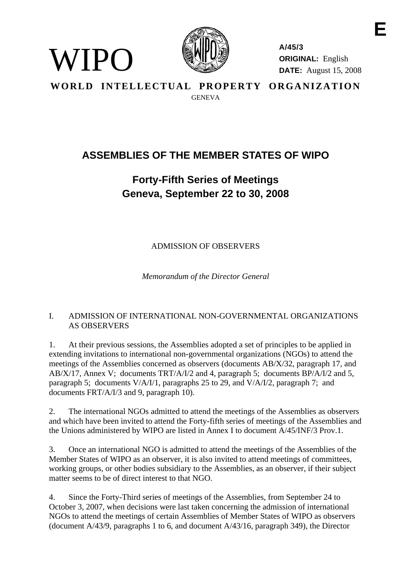

WIPO)

**A/45/3 ORIGINAL:** English **DATE:** August 15, 2008

**WORLD INTELLECTUAL PROPERTY ORGANIZATION GENEVA** 

# **ASSEMBLIES OF THE MEMBER STATES OF WIPO**

# **Forty-Fifth Series of Meetings Geneva, September 22 to 30, 2008**

ADMISSION OF OBSERVERS

*Memorandum of the Director General* 

# I. ADMISSION OF INTERNATIONAL NON-GOVERNMENTAL ORGANIZATIONS AS OBSERVERS

1. At their previous sessions, the Assemblies adopted a set of principles to be applied in extending invitations to international non-governmental organizations (NGOs) to attend the meetings of the Assemblies concerned as observers (documents AB/X/32, paragraph 17, and AB/X/17, Annex V; documents TRT/A/I/2 and 4, paragraph 5; documents BP/A/I/2 and 5, paragraph 5; documents V/A/I/1, paragraphs 25 to 29, and V/A/I/2, paragraph 7; and documents FRT/A/I/3 and 9, paragraph 10).

2. The international NGOs admitted to attend the meetings of the Assemblies as observers and which have been invited to attend the Forty-fifth series of meetings of the Assemblies and the Unions administered by WIPO are listed in Annex I to document A/45/INF/3 Prov.1.

3. Once an international NGO is admitted to attend the meetings of the Assemblies of the Member States of WIPO as an observer, it is also invited to attend meetings of committees, working groups, or other bodies subsidiary to the Assemblies, as an observer, if their subject matter seems to be of direct interest to that NGO.

4. Since the Forty-Third series of meetings of the Assemblies, from September 24 to October 3, 2007, when decisions were last taken concerning the admission of international NGOs to attend the meetings of certain Assemblies of Member States of WIPO as observers (document A/43/9, paragraphs 1 to 6, and document A/43/16, paragraph 349), the Director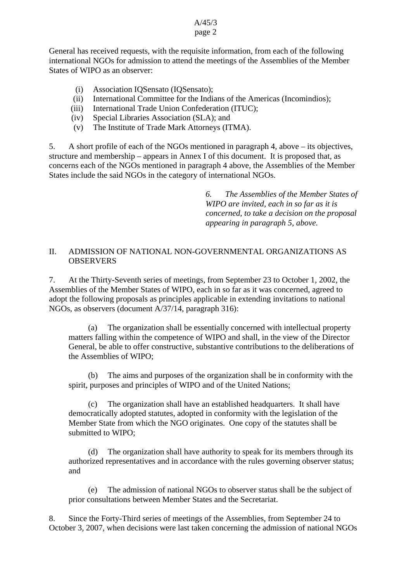#### A/45/3 page 2

General has received requests, with the requisite information, from each of the following international NGOs for admission to attend the meetings of the Assemblies of the Member States of WIPO as an observer:

- (i) Association IQSensato (IQSensato);
- (ii) International Committee for the Indians of the Americas (Incomindios);
- (iii) International Trade Union Confederation (ITUC);
- (iv) Special Libraries Association (SLA); and
- (v) The Institute of Trade Mark Attorneys (ITMA).

5. A short profile of each of the NGOs mentioned in paragraph 4, above – its objectives, structure and membership – appears in Annex I of this document. It is proposed that, as concerns each of the NGOs mentioned in paragraph 4 above, the Assemblies of the Member States include the said NGOs in the category of international NGOs.

> *6. The Assemblies of the Member States of WIPO are invited, each in so far as it is concerned, to take a decision on the proposal appearing in paragraph 5, above.*

## II. ADMISSION OF NATIONAL NON-GOVERNMENTAL ORGANIZATIONS AS **OBSERVERS**

7. At the Thirty-Seventh series of meetings, from September 23 to October 1, 2002, the Assemblies of the Member States of WIPO, each in so far as it was concerned, agreed to adopt the following proposals as principles applicable in extending invitations to national NGOs, as observers (document A/37/14, paragraph 316):

 (a) The organization shall be essentially concerned with intellectual property matters falling within the competence of WIPO and shall, in the view of the Director General, be able to offer constructive, substantive contributions to the deliberations of the Assemblies of WIPO;

(b) The aims and purposes of the organization shall be in conformity with the spirit, purposes and principles of WIPO and of the United Nations;

(c) The organization shall have an established headquarters. It shall have democratically adopted statutes, adopted in conformity with the legislation of the Member State from which the NGO originates. One copy of the statutes shall be submitted to WIPO;

(d) The organization shall have authority to speak for its members through its authorized representatives and in accordance with the rules governing observer status; and

 (e) The admission of national NGOs to observer status shall be the subject of prior consultations between Member States and the Secretariat.

8. Since the Forty-Third series of meetings of the Assemblies, from September 24 to October 3, 2007, when decisions were last taken concerning the admission of national NGOs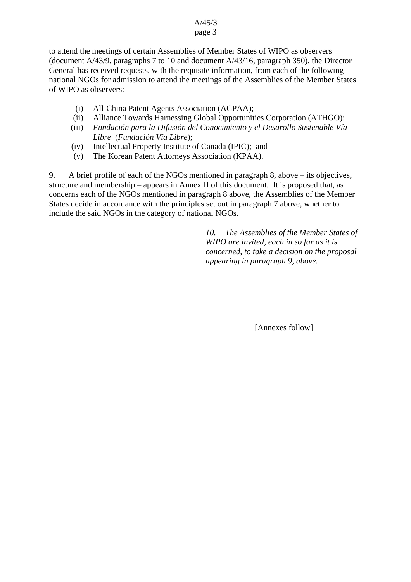#### A/45/3 page 3

to attend the meetings of certain Assemblies of Member States of WIPO as observers (document A/43/9, paragraphs 7 to 10 and document A/43/16, paragraph 350), the Director General has received requests, with the requisite information, from each of the following national NGOs for admission to attend the meetings of the Assemblies of the Member States of WIPO as observers:

- (i) All-China Patent Agents Association (ACPAA);
- (ii) Alliance Towards Harnessing Global Opportunities Corporation (ATHGO);
- (iii) *Fundación para la Difusión del Conocimiento y el Desarollo Sustenable Vía Libre* (*Fundación Vía Libre*);
- (iv) Intellectual Property Institute of Canada (IPIC); and
- (v) The Korean Patent Attorneys Association (KPAA).

9. A brief profile of each of the NGOs mentioned in paragraph 8, above – its objectives, structure and membership – appears in Annex II of this document. It is proposed that, as concerns each of the NGOs mentioned in paragraph 8 above, the Assemblies of the Member States decide in accordance with the principles set out in paragraph 7 above, whether to include the said NGOs in the category of national NGOs.

> *10. The Assemblies of the Member States of WIPO are invited, each in so far as it is concerned, to take a decision on the proposal appearing in paragraph 9, above.*

> > [Annexes follow]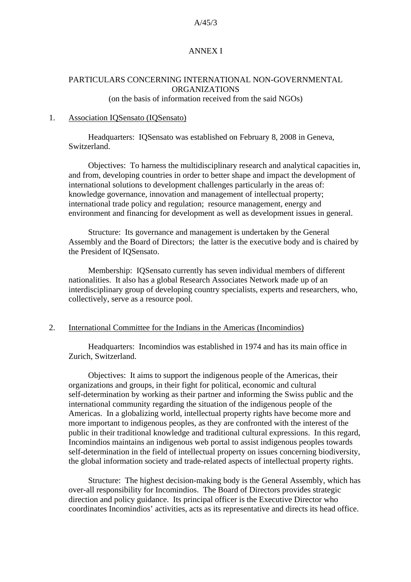#### A/45/3

## ANNEX I

# PARTICULARS CONCERNING INTERNATIONAL NON-GOVERNMENTAL ORGANIZATIONS

(on the basis of information received from the said NGOs)

#### 1. Association IQSensato (IQSensato)

Headquarters: IQSensato was established on February 8, 2008 in Geneva, Switzerland.

Objectives: To harness the multidisciplinary research and analytical capacities in, and from, developing countries in order to better shape and impact the development of international solutions to development challenges particularly in the areas of: knowledge governance, innovation and management of intellectual property; international trade policy and regulation; resource management, energy and environment and financing for development as well as development issues in general.

Structure: Its governance and management is undertaken by the General Assembly and the Board of Directors; the latter is the executive body and is chaired by the President of IQSensato.

Membership: IQSensato currently has seven individual members of different nationalities. It also has a global Research Associates Network made up of an interdisciplinary group of developing country specialists, experts and researchers, who, collectively, serve as a resource pool.

#### 2. International Committee for the Indians in the Americas (Incomindios)

Headquarters: Incomindios was established in 1974 and has its main office in Zurich, Switzerland.

Objectives: It aims to support the indigenous people of the Americas, their organizations and groups, in their fight for political, economic and cultural self-determination by working as their partner and informing the Swiss public and the international community regarding the situation of the indigenous people of the Americas. In a globalizing world, intellectual property rights have become more and more important to indigenous peoples, as they are confronted with the interest of the public in their traditional knowledge and traditional cultural expressions. In this regard, Incomindios maintains an indigenous web portal to assist indigenous peoples towards self-determination in the field of intellectual property on issues concerning biodiversity, the global information society and trade-related aspects of intellectual property rights.

Structure: The highest decision-making body is the General Assembly, which has over-all responsibility for Incomindios. The Board of Directors provides strategic direction and policy guidance. Its principal officer is the Executive Director who coordinates Incomindios' activities, acts as its representative and directs its head office.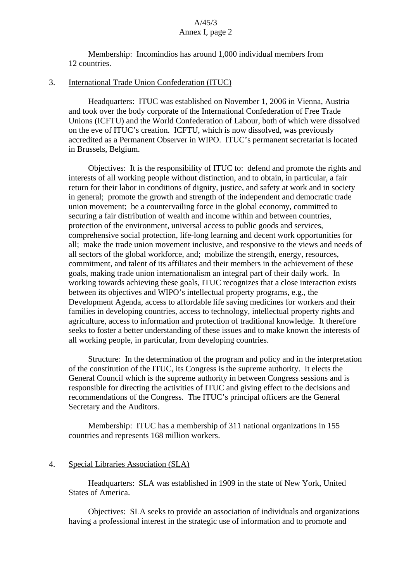Membership: Incomindios has around 1,000 individual members from 12 countries.

#### 3. International Trade Union Confederation (ITUC)

Headquarters: ITUC was established on November 1, 2006 in Vienna, Austria and took over the body corporate of the International Confederation of Free Trade Unions (ICFTU) and the World Confederation of Labour, both of which were dissolved on the eve of ITUC's creation. ICFTU, which is now dissolved, was previously accredited as a Permanent Observer in WIPO. ITUC's permanent secretariat is located in Brussels, Belgium.

Objectives: It is the responsibility of ITUC to: defend and promote the rights and interests of all working people without distinction, and to obtain, in particular, a fair return for their labor in conditions of dignity, justice, and safety at work and in society in general; promote the growth and strength of the independent and democratic trade union movement; be a countervailing force in the global economy, committed to securing a fair distribution of wealth and income within and between countries, protection of the environment, universal access to public goods and services, comprehensive social protection, life-long learning and decent work opportunities for all; make the trade union movement inclusive, and responsive to the views and needs of all sectors of the global workforce, and; mobilize the strength, energy, resources, commitment, and talent of its affiliates and their members in the achievement of these goals, making trade union internationalism an integral part of their daily work. In working towards achieving these goals, ITUC recognizes that a close interaction exists between its objectives and WIPO's intellectual property programs, e.g., the Development Agenda, access to affordable life saving medicines for workers and their families in developing countries, access to technology, intellectual property rights and agriculture, access to information and protection of traditional knowledge. It therefore seeks to foster a better understanding of these issues and to make known the interests of all working people, in particular, from developing countries.

Structure: In the determination of the program and policy and in the interpretation of the constitution of the ITUC, its Congress is the supreme authority. It elects the General Council which is the supreme authority in between Congress sessions and is responsible for directing the activities of ITUC and giving effect to the decisions and recommendations of the Congress. The ITUC's principal officers are the General Secretary and the Auditors.

Membership: ITUC has a membership of 311 national organizations in 155 countries and represents 168 million workers.

## 4. Special Libraries Association (SLA)

Headquarters: SLA was established in 1909 in the state of New York, United States of America.

Objectives: SLA seeks to provide an association of individuals and organizations having a professional interest in the strategic use of information and to promote and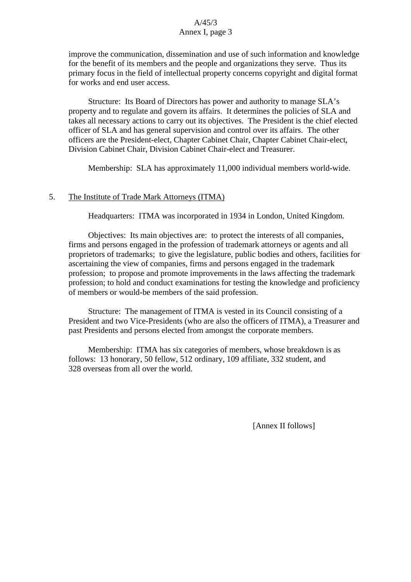## A/45/3 Annex I, page 3

improve the communication, dissemination and use of such information and knowledge for the benefit of its members and the people and organizations they serve. Thus its primary focus in the field of intellectual property concerns copyright and digital format for works and end user access.

Structure: Its Board of Directors has power and authority to manage SLA's property and to regulate and govern its affairs. It determines the policies of SLA and takes all necessary actions to carry out its objectives. The President is the chief elected officer of SLA and has general supervision and control over its affairs. The other officers are the President-elect, Chapter Cabinet Chair, Chapter Cabinet Chair-elect, Division Cabinet Chair, Division Cabinet Chair-elect and Treasurer.

Membership: SLA has approximately 11,000 individual members world-wide.

## 5. The Institute of Trade Mark Attorneys (ITMA)

Headquarters: ITMA was incorporated in 1934 in London, United Kingdom.

Objectives: Its main objectives are: to protect the interests of all companies, firms and persons engaged in the profession of trademark attorneys or agents and all proprietors of trademarks; to give the legislature, public bodies and others, facilities for ascertaining the view of companies, firms and persons engaged in the trademark profession; to propose and promote improvements in the laws affecting the trademark profession; to hold and conduct examinations for testing the knowledge and proficiency of members or would-be members of the said profession.

Structure: The management of ITMA is vested in its Council consisting of a President and two Vice-Presidents (who are also the officers of ITMA), a Treasurer and past Presidents and persons elected from amongst the corporate members.

Membership: ITMA has six categories of members, whose breakdown is as follows: 13 honorary, 50 fellow, 512 ordinary, 109 affiliate, 332 student, and 328 overseas from all over the world.

[Annex II follows]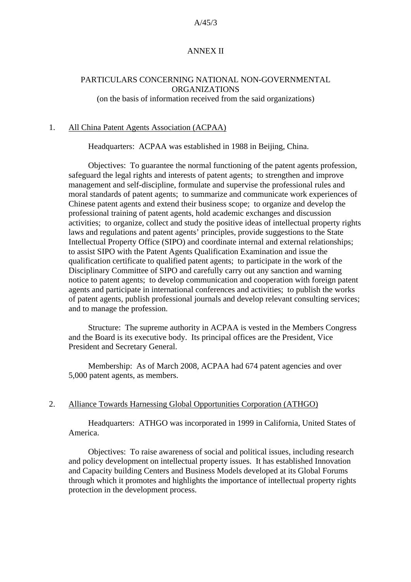#### A/45/3

## ANNEX II

## PARTICULARS CONCERNING NATIONAL NON-GOVERNMENTAL ORGANIZATIONS

(on the basis of information received from the said organizations)

#### 1. All China Patent Agents Association (ACPAA)

Headquarters: ACPAA was established in 1988 in Beijing, China.

Objectives: To guarantee the normal functioning of the patent agents profession, safeguard the legal rights and interests of patent agents; to strengthen and improve management and self-discipline, formulate and supervise the professional rules and moral standards of patent agents; to summarize and communicate work experiences of Chinese patent agents and extend their business scope; to organize and develop the professional training of patent agents, hold academic exchanges and discussion activities; to organize, collect and study the positive ideas of intellectual property rights laws and regulations and patent agents' principles, provide suggestions to the State Intellectual Property Office (SIPO) and coordinate internal and external relationships; to assist SIPO with the Patent Agents Qualification Examination and issue the qualification certificate to qualified patent agents; to participate in the work of the Disciplinary Committee of SIPO and carefully carry out any sanction and warning notice to patent agents; to develop communication and cooperation with foreign patent agents and participate in international conferences and activities; to publish the works of patent agents, publish professional journals and develop relevant consulting services; and to manage the profession.

Structure: The supreme authority in ACPAA is vested in the Members Congress and the Board is its executive body. Its principal offices are the President, Vice President and Secretary General.

Membership: As of March 2008, ACPAA had 674 patent agencies and over 5,000 patent agents, as members.

#### 2. Alliance Towards Harnessing Global Opportunities Corporation (ATHGO)

Headquarters: ATHGO was incorporated in 1999 in California, United States of America.

Objectives: To raise awareness of social and political issues, including research and policy development on intellectual property issues. It has established Innovation and Capacity building Centers and Business Models developed at its Global Forums through which it promotes and highlights the importance of intellectual property rights protection in the development process.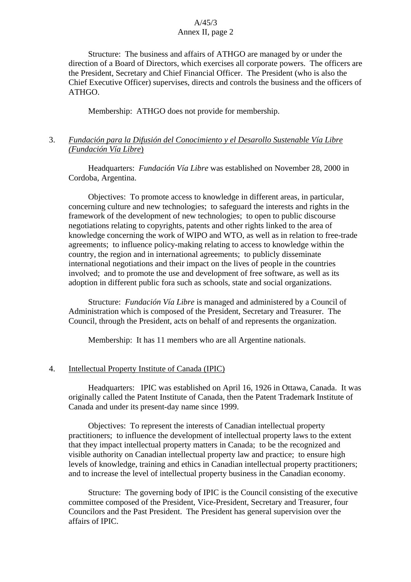## A/45/3 Annex II, page 2

Structure: The business and affairs of ATHGO are managed by or under the direction of a Board of Directors, which exercises all corporate powers. The officers are the President, Secretary and Chief Financial Officer. The President (who is also the Chief Executive Officer) supervises, directs and controls the business and the officers of ATHGO.

Membership: ATHGO does not provide for membership.

# 3. *Fundación para la Difusión del Conocimiento y el Desarollo Sustenable Vía Libre (Fundación Vía Libre*)

Headquarters: *Fundación Vía Libre* was established on November 28, 2000 in Cordoba, Argentina.

Objectives: To promote access to knowledge in different areas, in particular, concerning culture and new technologies; to safeguard the interests and rights in the framework of the development of new technologies; to open to public discourse negotiations relating to copyrights, patents and other rights linked to the area of knowledge concerning the work of WIPO and WTO, as well as in relation to free-trade agreements; to influence policy-making relating to access to knowledge within the country, the region and in international agreements; to publicly disseminate international negotiations and their impact on the lives of people in the countries involved; and to promote the use and development of free software, as well as its adoption in different public fora such as schools, state and social organizations.

Structure: *Fundación Vía Libre* is managed and administered by a Council of Administration which is composed of the President, Secretary and Treasurer. The Council, through the President, acts on behalf of and represents the organization.

Membership: It has 11 members who are all Argentine nationals.

## 4. Intellectual Property Institute of Canada (IPIC)

Headquarters: IPIC was established on April 16, 1926 in Ottawa, Canada. It was originally called the Patent Institute of Canada, then the Patent Trademark Institute of Canada and under its present-day name since 1999.

Objectives: To represent the interests of Canadian intellectual property practitioners; to influence the development of intellectual property laws to the extent that they impact intellectual property matters in Canada; to be the recognized and visible authority on Canadian intellectual property law and practice; to ensure high levels of knowledge, training and ethics in Canadian intellectual property practitioners; and to increase the level of intellectual property business in the Canadian economy.

Structure: The governing body of IPIC is the Council consisting of the executive committee composed of the President, Vice-President, Secretary and Treasurer, four Councilors and the Past President. The President has general supervision over the affairs of IPIC.